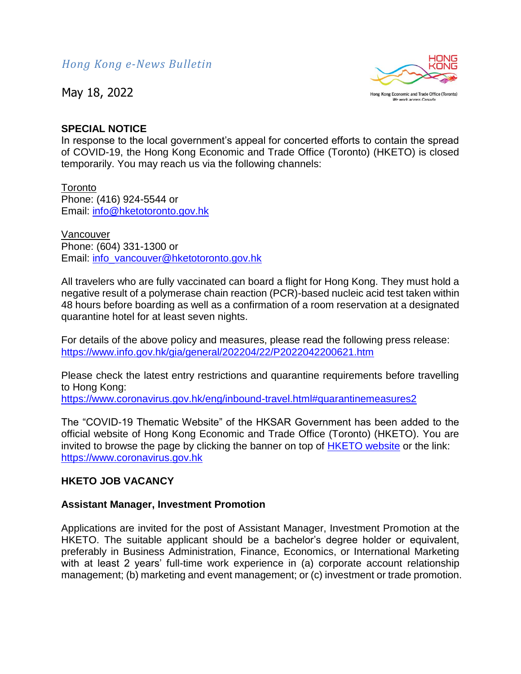May 18, 2022



## **SPECIAL NOTICE**

In response to the local government's appeal for concerted efforts to contain the spread of COVID-19, the Hong Kong Economic and Trade Office (Toronto) (HKETO) is closed temporarily. You may reach us via the following channels:

**Toronto** Phone: (416) 924-5544 or Email: [info@hketotoronto.gov.hk](mailto:info@hketotoronto.gov.hk)

Vancouver Phone: (604) 331-1300 or Email: [info\\_vancouver@hketotoronto.gov.hk](mailto:info_vancouver@hketotoronto.gov.hk)

All travelers who are fully vaccinated can board a flight for Hong Kong. They must hold a negative result of a polymerase chain reaction (PCR)-based nucleic acid test taken within 48 hours before boarding as well as a confirmation of a room reservation at a designated quarantine hotel for at least seven nights.

For details of the above policy and measures, please read the following press release: <https://www.info.gov.hk/gia/general/202204/22/P2022042200621.htm>

Please check the latest entry restrictions and quarantine requirements before travelling to Hong Kong:

<https://www.coronavirus.gov.hk/eng/inbound-travel.html#quarantinemeasures2>

The "COVID-19 Thematic Website" of the HKSAR Government has been added to the official website of Hong Kong Economic and Trade Office (Toronto) (HKETO). You are invited to browse the page by clicking the banner on top of [HKETO website](https://www.hketotoronto.gov.hk/) or the link: [https://www.coronavirus.gov.hk](https://www.coronavirus.gov.hk/)

## **HKETO JOB VACANCY**

## **Assistant Manager, Investment Promotion**

Applications are invited for the post of Assistant Manager, Investment Promotion at the HKETO. The suitable applicant should be a bachelor's degree holder or equivalent, preferably in Business Administration, Finance, Economics, or International Marketing with at least 2 years' full-time work experience in (a) corporate account relationship management; (b) marketing and event management; or (c) investment or trade promotion.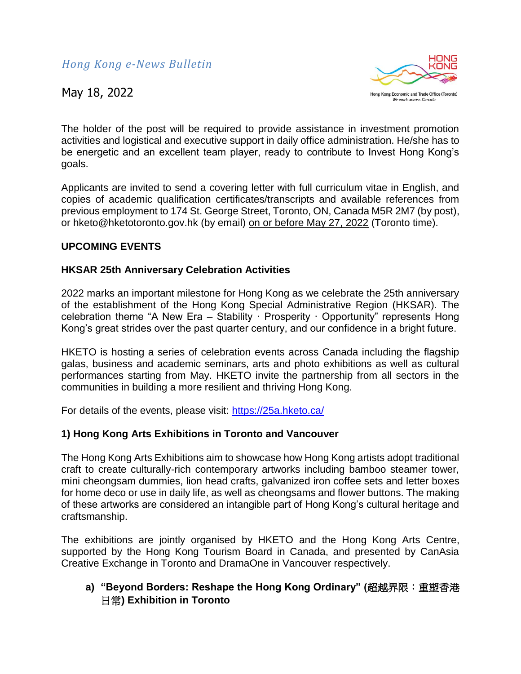

The holder of the post will be required to provide assistance in investment promotion activities and logistical and executive support in daily office administration. He/she has to be energetic and an excellent team player, ready to contribute to Invest Hong Kong's goals.

Applicants are invited to send a covering letter with full curriculum vitae in English, and copies of academic qualification certificates/transcripts and available references from previous employment to 174 St. George Street, Toronto, ON, Canada M5R 2M7 (by post), or hketo@hketotoronto.gov.hk (by email) on or before May 27, 2022 (Toronto time).

## **UPCOMING EVENTS**

## **HKSAR 25th Anniversary Celebration Activities**

2022 marks an important milestone for Hong Kong as we celebrate the 25th anniversary of the establishment of the Hong Kong Special Administrative Region (HKSAR). The celebration theme "A New Era – Stability · Prosperity · Opportunity" represents Hong Kong's great strides over the past quarter century, and our confidence in a bright future.

HKETO is hosting a series of celebration events across Canada including the flagship galas, business and academic seminars, arts and photo exhibitions as well as cultural performances starting from May. HKETO invite the partnership from all sectors in the communities in building a more resilient and thriving Hong Kong.

For details of the events, please visit:<https://25a.hketo.ca/>

## **1) Hong Kong Arts Exhibitions in Toronto and Vancouver**

The Hong Kong Arts Exhibitions aim to showcase how Hong Kong artists adopt traditional craft to create culturally-rich contemporary artworks including bamboo steamer tower, mini cheongsam dummies, lion head crafts, galvanized iron coffee sets and letter boxes for home deco or use in daily life, as well as cheongsams and flower buttons. The making of these artworks are considered an intangible part of Hong Kong's cultural heritage and craftsmanship.

The exhibitions are jointly organised by HKETO and the Hong Kong Arts Centre, supported by the Hong Kong Tourism Board in Canada, and presented by CanAsia Creative Exchange in Toronto and DramaOne in Vancouver respectively.

# **a) "Beyond Borders: Reshape the Hong Kong Ordinary" (**超越界限:重塑香港 日常**) Exhibition in Toronto**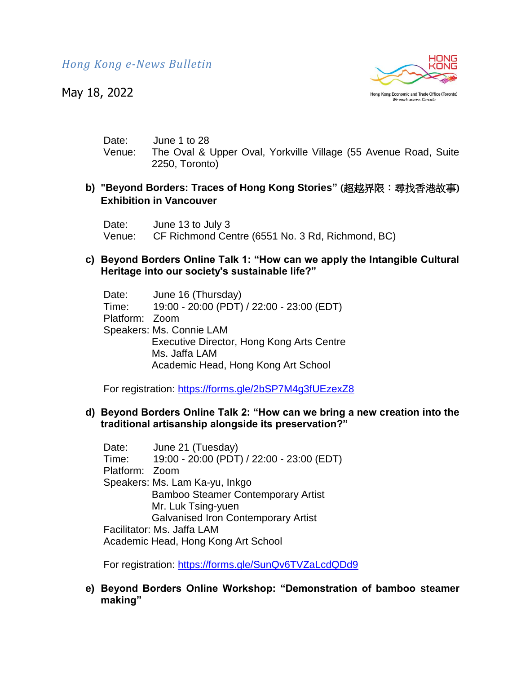May 18, 2022



Date: June 1 to 28 Venue: The Oval & Upper Oval, Yorkville Village (55 Avenue Road, Suite 2250, Toronto)

## **b) "Beyond Borders: Traces of Hong Kong Stories" (**超越界限:尋找香港故事**) Exhibition in Vancouver**

Date: June 13 to July 3 Venue: CF Richmond Centre (6551 No. 3 Rd, Richmond, BC)

## **c) Beyond Borders Online Talk 1: "How can we apply the Intangible Cultural Heritage into our society's sustainable life?"**

| Date:          | June 16 (Thursday)                        |
|----------------|-------------------------------------------|
| Time:          | 19:00 - 20:00 (PDT) / 22:00 - 23:00 (EDT) |
| Platform: Zoom |                                           |
|                | Speakers: Ms. Connie LAM                  |
|                | Executive Director, Hong Kong Arts Centre |
|                | Ms. Jaffa LAM                             |
|                | Academic Head, Hong Kong Art School       |

For registration:<https://forms.gle/2bSP7M4g3fUEzexZ8>

## **d) Beyond Borders Online Talk 2: "How can we bring a new creation into the traditional artisanship alongside its preservation?"**

Date: June 21 (Tuesday) Time: 19:00 - 20:00 (PDT) / 22:00 - 23:00 (EDT) Platform: Zoom Speakers: Ms. Lam Ka-yu, Inkgo Bamboo Steamer Contemporary Artist Mr. Luk Tsing-yuen Galvanised Iron Contemporary Artist Facilitator: Ms. Jaffa LAM Academic Head, Hong Kong Art School

For registration:<https://forms.gle/SunQv6TVZaLcdQDd9>

## **e) Beyond Borders Online Workshop: "Demonstration of bamboo steamer making"**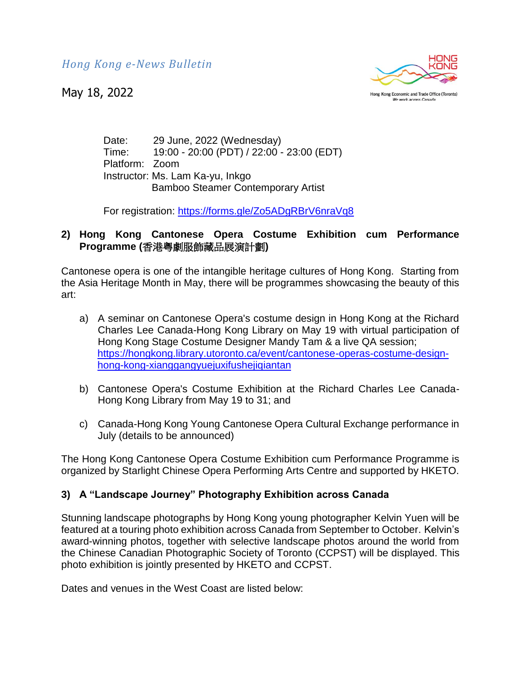May 18, 2022



Hong Kong Economic and Trade Office (Toronto) We work across Canada

Date: 29 June, 2022 (Wednesday) Time: 19:00 - 20:00 (PDT) / 22:00 - 23:00 (EDT) Platform: Zoom Instructor: Ms. Lam Ka-yu, Inkgo Bamboo Steamer Contemporary Artist

For registration:<https://forms.gle/Zo5ADgRBrV6nraVq8>

# **2) Hong Kong Cantonese Opera Costume Exhibition cum Performance Programme (**香港粵劇服飾藏品展演計劃**)**

Cantonese opera is one of the intangible heritage cultures of Hong Kong. Starting from the Asia Heritage Month in May, there will be programmes showcasing the beauty of this art:

- a) A seminar on Cantonese Opera's costume design in Hong Kong at the Richard Charles Lee Canada-Hong Kong Library on May 19 with virtual participation of Hong Kong Stage Costume Designer Mandy Tam & a live QA session; [https://hongkong.library.utoronto.ca/event/cantonese-operas-costume-design](https://hongkong.library.utoronto.ca/event/cantonese-operas-costume-design-hong-kong-xianggangyuejuxifushejiqiantan)[hong-kong-xianggangyuejuxifushejiqiantan](https://hongkong.library.utoronto.ca/event/cantonese-operas-costume-design-hong-kong-xianggangyuejuxifushejiqiantan)
- b) Cantonese Opera's Costume Exhibition at the Richard Charles Lee Canada-Hong Kong Library from May 19 to 31; and
- c) Canada-Hong Kong Young Cantonese Opera Cultural Exchange performance in July (details to be announced)

The Hong Kong Cantonese Opera Costume Exhibition cum Performance Programme is organized by Starlight Chinese Opera Performing Arts Centre and supported by HKETO.

# **3) A "Landscape Journey" Photography Exhibition across Canada**

Stunning landscape photographs by Hong Kong young photographer Kelvin Yuen will be featured at a touring photo exhibition across Canada from September to October. Kelvin's award-winning photos, together with selective landscape photos around the world from the Chinese Canadian Photographic Society of Toronto (CCPST) will be displayed. This photo exhibition is jointly presented by HKETO and CCPST.

Dates and venues in the West Coast are listed below: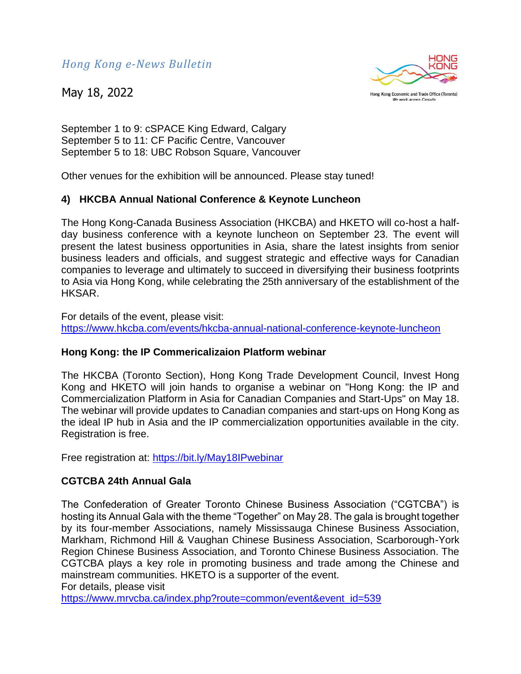May 18, 2022



Hong Kong Economic and Trade Office (Toronto) We work across Canada

September 1 to 9: cSPACE King Edward, Calgary September 5 to 11: CF Pacific Centre, Vancouver September 5 to 18: UBC Robson Square, Vancouver

Other venues for the exhibition will be announced. Please stay tuned!

## **4) HKCBA Annual National Conference & Keynote Luncheon**

The Hong Kong-Canada Business Association (HKCBA) and HKETO will co-host a halfday business conference with a keynote luncheon on September 23. The event will present the latest business opportunities in Asia, share the latest insights from senior business leaders and officials, and suggest strategic and effective ways for Canadian companies to leverage and ultimately to succeed in diversifying their business footprints to Asia via Hong Kong, while celebrating the 25th anniversary of the establishment of the HKSAR.

For details of the event, please visit: <https://www.hkcba.com/events/hkcba-annual-national-conference-keynote-luncheon>

## **Hong Kong: the IP Commericalizaion Platform webinar**

The HKCBA (Toronto Section), Hong Kong Trade Development Council, Invest Hong Kong and HKETO will join hands to organise a webinar on "Hong Kong: the IP and Commercialization Platform in Asia for Canadian Companies and Start-Ups" on May 18. The webinar will provide updates to Canadian companies and start-ups on Hong Kong as the ideal IP hub in Asia and the IP commercialization opportunities available in the city. Registration is free.

Free registration at:<https://bit.ly/May18IPwebinar>

## **CGTCBA 24th Annual Gala**

The Confederation of Greater Toronto Chinese Business Association ("CGTCBA") is hosting its Annual Gala with the theme "Together" on May 28. The gala is brought together by its four-member Associations, namely Mississauga Chinese Business Association, Markham, Richmond Hill & Vaughan Chinese Business Association, Scarborough-York Region Chinese Business Association, and Toronto Chinese Business Association. The CGTCBA plays a key role in promoting business and trade among the Chinese and mainstream communities. HKETO is a supporter of the event.

For details, please visit

[https://www.mrvcba.ca/index.php?route=common/event&event\\_id=539](https://www.mrvcba.ca/index.php?route=common/event&event_id=539)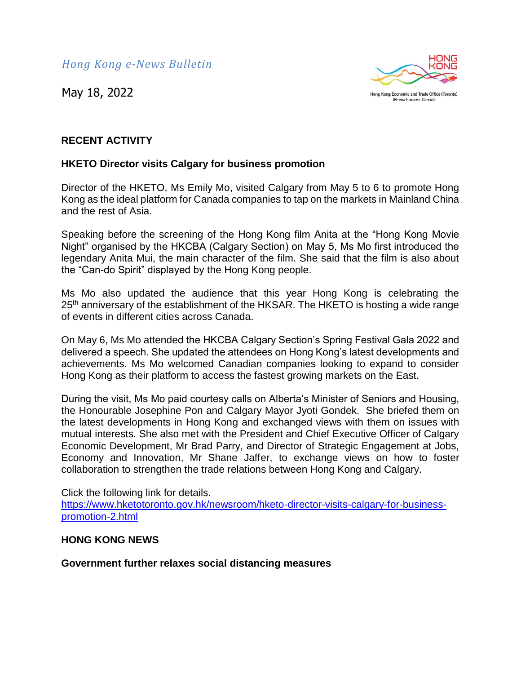May 18, 2022



## **RECENT ACTIVITY**

## **HKETO Director visits Calgary for business promotion**

Director of the HKETO, Ms Emily Mo, visited Calgary from May 5 to 6 to promote Hong Kong as the ideal platform for Canada companies to tap on the markets in Mainland China and the rest of Asia.

Speaking before the screening of the Hong Kong film Anita at the "Hong Kong Movie Night" organised by the HKCBA (Calgary Section) on May 5, Ms Mo first introduced the legendary Anita Mui, the main character of the film. She said that the film is also about the "Can-do Spirit" displayed by the Hong Kong people.

Ms Mo also updated the audience that this year Hong Kong is celebrating the 25<sup>th</sup> anniversary of the establishment of the HKSAR. The HKETO is hosting a wide range of events in different cities across Canada.

On May 6, Ms Mo attended the HKCBA Calgary Section's Spring Festival Gala 2022 and delivered a speech. She updated the attendees on Hong Kong's latest developments and achievements. Ms Mo welcomed Canadian companies looking to expand to consider Hong Kong as their platform to access the fastest growing markets on the East.

During the visit, Ms Mo paid courtesy calls on Alberta's Minister of Seniors and Housing, the Honourable Josephine Pon and Calgary Mayor Jyoti Gondek. She briefed them on the latest developments in Hong Kong and exchanged views with them on issues with mutual interests. She also met with the President and Chief Executive Officer of Calgary Economic Development, Mr Brad Parry, and Director of Strategic Engagement at Jobs, Economy and Innovation, Mr Shane Jaffer, to exchange views on how to foster collaboration to strengthen the trade relations between Hong Kong and Calgary.

Click the following link for details. [https://www.hketotoronto.gov.hk/newsroom/hketo-director-visits-calgary-for-business](https://www.hketotoronto.gov.hk/newsroom/hketo-director-visits-calgary-for-business-promotion-2.html)[promotion-2.html](https://www.hketotoronto.gov.hk/newsroom/hketo-director-visits-calgary-for-business-promotion-2.html)

#### **HONG KONG NEWS**

#### **Government further relaxes social distancing measures**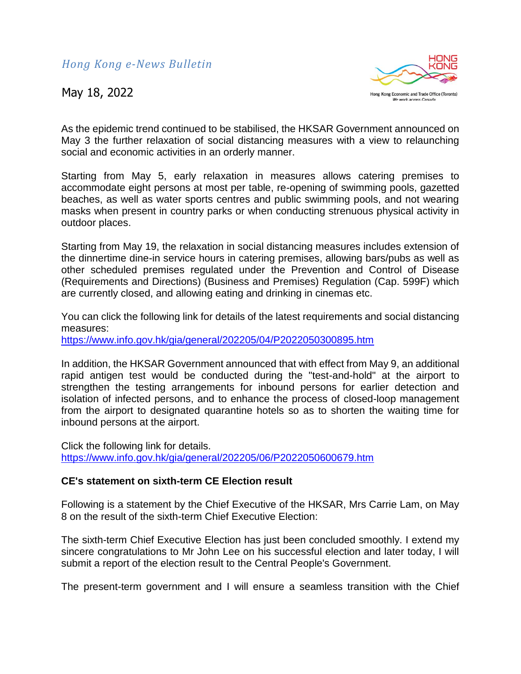

As the epidemic trend continued to be stabilised, the HKSAR Government announced on May 3 the further relaxation of social distancing measures with a view to relaunching social and economic activities in an orderly manner.

Starting from May 5, early relaxation in measures allows catering premises to accommodate eight persons at most per table, re-opening of swimming pools, gazetted beaches, as well as water sports centres and public swimming pools, and not wearing masks when present in country parks or when conducting strenuous physical activity in outdoor places.

Starting from May 19, the relaxation in social distancing measures includes extension of the dinnertime dine-in service hours in catering premises, allowing bars/pubs as well as other scheduled premises regulated under the Prevention and Control of Disease (Requirements and Directions) (Business and Premises) Regulation (Cap. 599F) which are currently closed, and allowing eating and drinking in cinemas etc.

You can click the following link for details of the latest requirements and social distancing measures: <https://www.info.gov.hk/gia/general/202205/04/P2022050300895.htm>

In addition, the HKSAR Government announced that with effect from May 9, an additional rapid antigen test would be conducted during the "test-and-hold" at the airport to strengthen the testing arrangements for inbound persons for earlier detection and isolation of infected persons, and to enhance the process of closed-loop management from the airport to designated quarantine hotels so as to shorten the waiting time for inbound persons at the airport.

Click the following link for details. <https://www.info.gov.hk/gia/general/202205/06/P2022050600679.htm>

## **CE's statement on sixth-term CE Election result**

Following is a statement by the Chief Executive of the HKSAR, Mrs Carrie Lam, on May 8 on the result of the sixth-term Chief Executive Election:

The sixth-term Chief Executive Election has just been concluded smoothly. I extend my sincere congratulations to Mr John Lee on his successful election and later today, I will submit a report of the election result to the Central People's Government.

The present-term government and I will ensure a seamless transition with the Chief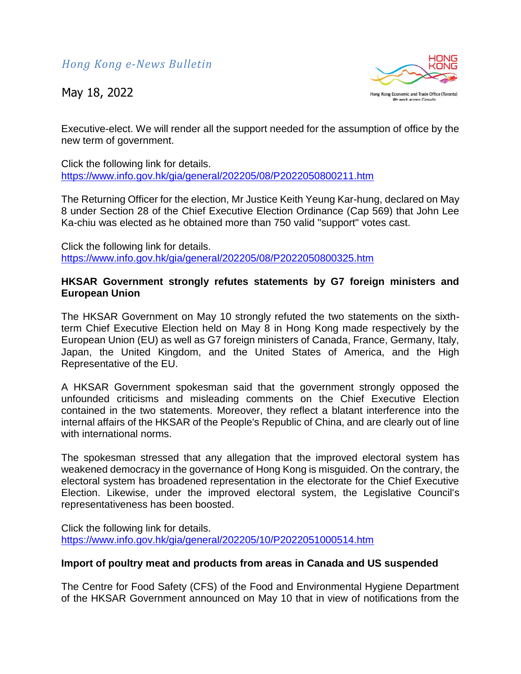

Executive-elect. We will render all the support needed for the assumption of office by the new term of government.

Click the following link for details. <https://www.info.gov.hk/gia/general/202205/08/P2022050800211.htm>

The Returning Officer for the election, Mr Justice Keith Yeung Kar-hung, declared on May 8 under Section 28 of the Chief Executive Election Ordinance (Cap 569) that John Lee Ka-chiu was elected as he obtained more than 750 valid "support" votes cast.

Click the following link for details. <https://www.info.gov.hk/gia/general/202205/08/P2022050800325.htm>

## **HKSAR Government strongly refutes statements by G7 foreign ministers and European Union**

The HKSAR Government on May 10 strongly refuted the two statements on the sixthterm Chief Executive Election held on May 8 in Hong Kong made respectively by the European Union (EU) as well as G7 foreign ministers of Canada, France, Germany, Italy, Japan, the United Kingdom, and the United States of America, and the High Representative of the EU.

A HKSAR Government spokesman said that the government strongly opposed the unfounded criticisms and misleading comments on the Chief Executive Election contained in the two statements. Moreover, they reflect a blatant interference into the internal affairs of the HKSAR of the People's Republic of China, and are clearly out of line with international norms.

The spokesman stressed that any allegation that the improved electoral system has weakened democracy in the governance of Hong Kong is misguided. On the contrary, the electoral system has broadened representation in the electorate for the Chief Executive Election. Likewise, under the improved electoral system, the Legislative Council's representativeness has been boosted.

Click the following link for details. <https://www.info.gov.hk/gia/general/202205/10/P2022051000514.htm>

## **Import of poultry meat and products from areas in Canada and US suspended**

The Centre for Food Safety (CFS) of the Food and Environmental Hygiene Department of the HKSAR Government announced on May 10 that in view of notifications from the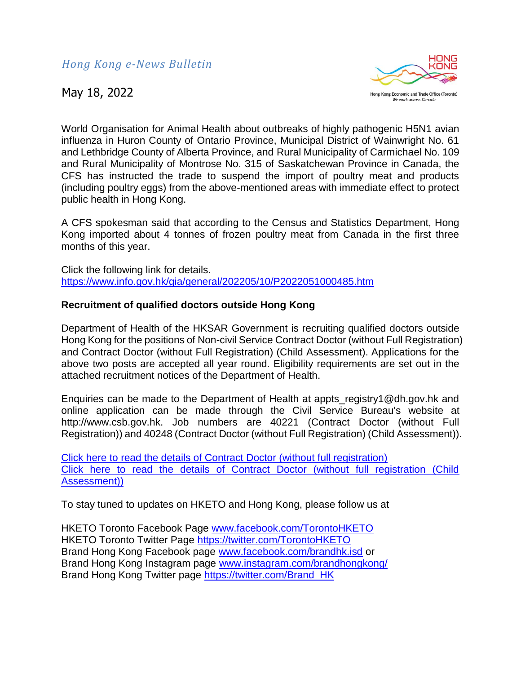

World Organisation for Animal Health about outbreaks of highly pathogenic H5N1 avian influenza in Huron County of Ontario Province, Municipal District of Wainwright No. 61 and Lethbridge County of Alberta Province, and Rural Municipality of Carmichael No. 109 and Rural Municipality of Montrose No. 315 of Saskatchewan Province in Canada, the CFS has instructed the trade to suspend the import of poultry meat and products (including poultry eggs) from the above-mentioned areas with immediate effect to protect public health in Hong Kong.

A CFS spokesman said that according to the Census and Statistics Department, Hong Kong imported about 4 tonnes of frozen poultry meat from Canada in the first three months of this year.

Click the following link for details. <https://www.info.gov.hk/gia/general/202205/10/P2022051000485.htm>

## **Recruitment of qualified doctors outside Hong Kong**

Department of Health of the HKSAR Government is recruiting qualified doctors outside Hong Kong for the positions of Non-civil Service Contract Doctor (without Full Registration) and Contract Doctor (without Full Registration) (Child Assessment). Applications for the above two posts are accepted all year round. Eligibility requirements are set out in the attached recruitment notices of the Department of Health.

Enquiries can be made to the Department of Health at appts registry1@dh.gov.hk and online application can be made through the Civil Service Bureau's website at http://www.csb.gov.hk. Job numbers are 40221 (Contract Doctor (without Full Registration)) and 40248 (Contract Doctor (without Full Registration) (Child Assessment)).

[Click here to read the details of Contract Doctor \(without full registration\)](https://www.dropbox.com/s/tp9jkognvazqoxq/DH-1.pdf?dl=0) [Click here to read the details of Contract Doctor \(without full registration \(Child](https://www.dropbox.com/s/si8z9mnwsn22mrc/DH-2.pdf?dl=0)  [Assessment\)\)](https://www.dropbox.com/s/si8z9mnwsn22mrc/DH-2.pdf?dl=0)

To stay tuned to updates on HKETO and Hong Kong, please follow us at

HKETO Toronto Facebook Page [www.facebook.com/TorontoHKETO](http://www.facebook.com/TorontoHKETO) HKETO Toronto Twitter Page<https://twitter.com/TorontoHKETO> Brand Hong Kong Facebook page [www.facebook.com/brandhk.isd](http://www.facebook.com/brandhk.isd) or Brand Hong Kong Instagram page [www.instagram.com/brandhongkong/](http://www.instagram.com/brandhongkong/) Brand Hong Kong Twitter page [https://twitter.com/Brand\\_HK](https://twitter.com/Brand_HK)